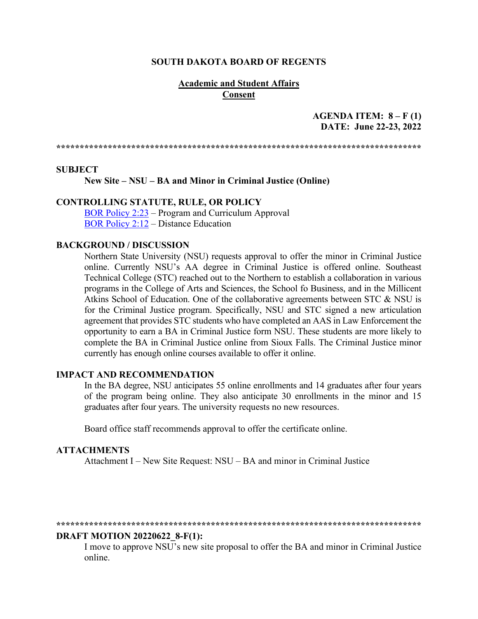#### **SOUTH DAKOTA BOARD OF REGENTS**

#### **Academic and Student Affairs Consent**

## **AGENDA ITEM: 8 – F (1) DATE: June 22-23, 2022**

**\*\*\*\*\*\*\*\*\*\*\*\*\*\*\*\*\*\*\*\*\*\*\*\*\*\*\*\*\*\*\*\*\*\*\*\*\*\*\*\*\*\*\*\*\*\*\*\*\*\*\*\*\*\*\*\*\*\*\*\*\*\*\*\*\*\*\*\*\*\*\*\*\*\*\*\*\*\***

#### **SUBJECT**

**New Site – NSU – BA and Minor in Criminal Justice (Online)** 

### **CONTROLLING STATUTE, RULE, OR POLICY**

[BOR Policy 2:23](https://www.sdbor.edu/policy/Documents/2-23.pdf) – Program and Curriculum Approval [BOR Policy 2:12](https://www.sdbor.edu/policy/documents/2-12.pdf) – Distance Education

#### **BACKGROUND / DISCUSSION**

Northern State University (NSU) requests approval to offer the minor in Criminal Justice online. Currently NSU's AA degree in Criminal Justice is offered online. Southeast Technical College (STC) reached out to the Northern to establish a collaboration in various programs in the College of Arts and Sciences, the School fo Business, and in the Millicent Atkins School of Education. One of the collaborative agreements between STC & NSU is for the Criminal Justice program. Specifically, NSU and STC signed a new articulation agreement that provides STC students who have completed an AAS in Law Enforcement the opportunity to earn a BA in Criminal Justice form NSU. These students are more likely to complete the BA in Criminal Justice online from Sioux Falls. The Criminal Justice minor currently has enough online courses available to offer it online.

#### **IMPACT AND RECOMMENDATION**

In the BA degree, NSU anticipates 55 online enrollments and 14 graduates after four years of the program being online. They also anticipate 30 enrollments in the minor and 15 graduates after four years. The university requests no new resources.

Board office staff recommends approval to offer the certificate online.

#### **ATTACHMENTS**

Attachment I – New Site Request: NSU – BA and minor in Criminal Justice

#### **\*\*\*\*\*\*\*\*\*\*\*\*\*\*\*\*\*\*\*\*\*\*\*\*\*\*\*\*\*\*\*\*\*\*\*\*\*\*\*\*\*\*\*\*\*\*\*\*\*\*\*\*\*\*\*\*\*\*\*\*\*\*\*\*\*\*\*\*\*\*\*\*\*\*\*\*\*\***

#### **DRAFT MOTION 20220622\_8-F(1):**

I move to approve NSU's new site proposal to offer the BA and minor in Criminal Justice online.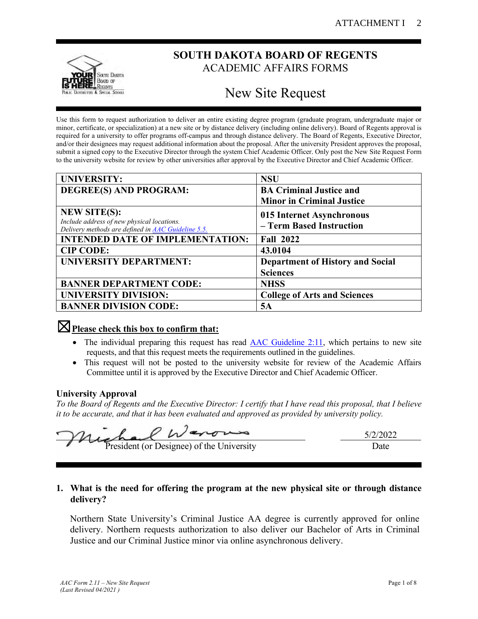

# **SOUTH DAKOTA BOARD OF REGENTS** ACADEMIC AFFAIRS FORMS

# New Site Request

Use this form to request authorization to deliver an entire existing degree program (graduate program, undergraduate major or minor, certificate, or specialization) at a new site or by distance delivery (including online delivery). Board of Regents approval is required for a university to offer programs off-campus and through distance delivery. The Board of Regents, Executive Director, and/or their designees may request additional information about the proposal. After the university President approves the proposal, submit a signed copy to the Executive Director through the system Chief Academic Officer. Only post the New Site Request Form to the university website for review by other universities after approval by the Executive Director and Chief Academic Officer.

| <b>UNIVERSITY:</b>                                                                                      | <b>NSU</b>                              |
|---------------------------------------------------------------------------------------------------------|-----------------------------------------|
| DEGREE(S) AND PROGRAM:                                                                                  | <b>BA Criminal Justice and</b>          |
|                                                                                                         | <b>Minor in Criminal Justice</b>        |
| <b>NEW SITE(S):</b>                                                                                     | 015 Internet Asynchronous               |
| Include address of new physical locations.<br>Delivery methods are defined in <b>AAC</b> Guideline 5.5. | - Term Based Instruction                |
| <b>INTENDED DATE OF IMPLEMENTATION:</b>                                                                 | <b>Fall 2022</b>                        |
| <b>CIP CODE:</b>                                                                                        | 43.0104                                 |
| <b>UNIVERSITY DEPARTMENT:</b>                                                                           | <b>Department of History and Social</b> |
|                                                                                                         | <b>Sciences</b>                         |
| <b>BANNER DEPARTMENT CODE:</b>                                                                          | <b>NHSS</b>                             |
| <b>UNIVERSITY DIVISION:</b>                                                                             | <b>College of Arts and Sciences</b>     |
| <b>BANNER DIVISION CODE:</b>                                                                            | 5A                                      |

## ☒**Please check this box to confirm that:**

- The individual preparing this request has read [AAC Guideline 2:11,](https://www.sdbor.edu/administrative-offices/academics/academic-affairs-guidelines/Documents/2_Guidelines/2_11_Guideline.pdf) which pertains to new site requests, and that this request meets the requirements outlined in the guidelines.
- This request will not be posted to the university website for review of the Academic Affairs Committee until it is approved by the Executive Director and Chief Academic Officer.

## **University Approval**

*To the Board of Regents and the Executive Director: I certify that I have read this proposal, that I believe it to be accurate, and that it has been evaluated and approved as provided by university policy.*

| Michael Warows                            | 5/2/2022 |
|-------------------------------------------|----------|
| President (or Designee) of the University | Jate     |

## **1. What is the need for offering the program at the new physical site or through distance delivery?**

Northern State University's Criminal Justice AA degree is currently approved for online delivery. Northern requests authorization to also deliver our Bachelor of Arts in Criminal Justice and our Criminal Justice minor via online asynchronous delivery.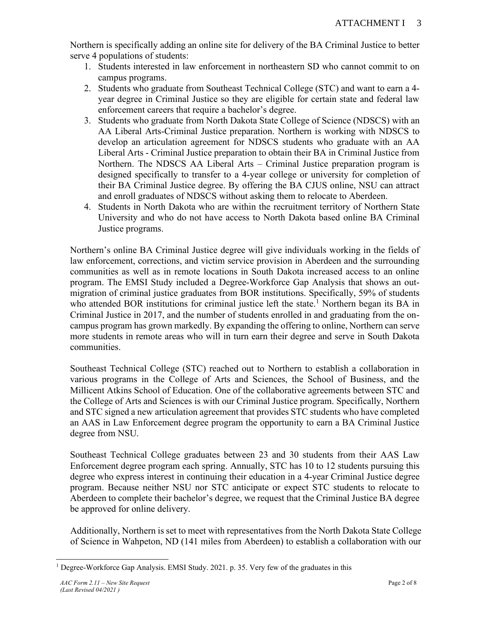Northern is specifically adding an online site for delivery of the BA Criminal Justice to better serve 4 populations of students:

- 1. Students interested in law enforcement in northeastern SD who cannot commit to on campus programs.
- 2. Students who graduate from Southeast Technical College (STC) and want to earn a 4 year degree in Criminal Justice so they are eligible for certain state and federal law enforcement careers that require a bachelor's degree.
- 3. Students who graduate from North Dakota State College of Science (NDSCS) with an AA Liberal Arts-Criminal Justice preparation. Northern is working with NDSCS to develop an articulation agreement for NDSCS students who graduate with an AA Liberal Arts - Criminal Justice preparation to obtain their BA in Criminal Justice from Northern. The NDSCS AA Liberal Arts – Criminal Justice preparation program is designed specifically to transfer to a 4-year college or university for completion of their BA Criminal Justice degree. By offering the BA CJUS online, NSU can attract and enroll graduates of NDSCS without asking them to relocate to Aberdeen.
- 4. Students in North Dakota who are within the recruitment territory of Northern State University and who do not have access to North Dakota based online BA Criminal Justice programs.

Northern's online BA Criminal Justice degree will give individuals working in the fields of law enforcement, corrections, and victim service provision in Aberdeen and the surrounding communities as well as in remote locations in South Dakota increased access to an online program. The EMSI Study included a Degree-Workforce Gap Analysis that shows an outmigration of criminal justice graduates from BOR institutions. Specifically, 59% of students who attended BOR institutions for criminal justice left the state.<sup>1</sup> Northern began its BA in Criminal Justice in 2017, and the number of students enrolled in and graduating from the oncampus program has grown markedly. By expanding the offering to online, Northern can serve more students in remote areas who will in turn earn their degree and serve in South Dakota communities.

Southeast Technical College (STC) reached out to Northern to establish a collaboration in various programs in the College of Arts and Sciences, the School of Business, and the Millicent Atkins School of Education. One of the collaborative agreements between STC and the College of Arts and Sciences is with our Criminal Justice program. Specifically, Northern and STC signed a new articulation agreement that provides STC students who have completed an AAS in Law Enforcement degree program the opportunity to earn a BA Criminal Justice degree from NSU.

Southeast Technical College graduates between 23 and 30 students from their AAS Law Enforcement degree program each spring. Annually, STC has 10 to 12 students pursuing this degree who express interest in continuing their education in a 4-year Criminal Justice degree program. Because neither NSU nor STC anticipate or expect STC students to relocate to Aberdeen to complete their bachelor's degree, we request that the Criminal Justice BA degree be approved for online delivery.

Additionally, Northern is set to meet with representatives from the North Dakota State College of Science in Wahpeton, ND (141 miles from Aberdeen) to establish a collaboration with our

<sup>1</sup> Degree-Workforce Gap Analysis. EMSI Study. 2021. p. 35. Very few of the graduates in this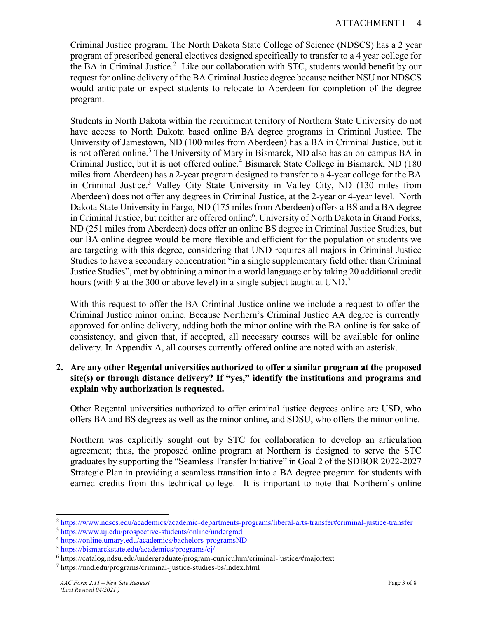Criminal Justice program. The North Dakota State College of Science (NDSCS) has a 2 year program of prescribed general electives designed specifically to transfer to a 4 year college for the BA in Criminal Justice.<sup>2</sup> Like our collaboration with STC, students would benefit by our request for online delivery of the BA Criminal Justice degree because neither NSU nor NDSCS would anticipate or expect students to relocate to Aberdeen for completion of the degree program.

Students in North Dakota within the recruitment territory of Northern State University do not have access to North Dakota based online BA degree programs in Criminal Justice. The University of Jamestown, ND (100 miles from Aberdeen) has a BA in Criminal Justice, but it is not offered online.<sup>3</sup> The University of Mary in Bismarck, ND also has an on-campus BA in Criminal Justice, but it is not offered online.<sup>4</sup> Bismarck State College in Bismarck, ND (180) miles from Aberdeen) has a 2-year program designed to transfer to a 4-year college for the BA in Criminal Justice.<sup>5</sup> Valley City State University in Valley City, ND (130 miles from Aberdeen) does not offer any degrees in Criminal Justice, at the 2-year or 4-year level. North Dakota State University in Fargo, ND (175 miles from Aberdeen) offers a BS and a BA degree in Criminal Justice, but neither are offered online<sup>6</sup>. University of North Dakota in Grand Forks, ND (251 miles from Aberdeen) does offer an online BS degree in Criminal Justice Studies, but our BA online degree would be more flexible and efficient for the population of students we are targeting with this degree, considering that UND requires all majors in Criminal Justice Studies to have a secondary concentration "in a single supplementary field other than Criminal Justice Studies", met by obtaining a minor in a world language or by taking 20 additional credit hours (with 9 at the 300 or above level) in a single subject taught at UND.<sup>7</sup>

With this request to offer the BA Criminal Justice online we include a request to offer the Criminal Justice minor online. Because Northern's Criminal Justice AA degree is currently approved for online delivery, adding both the minor online with the BA online is for sake of consistency, and given that, if accepted, all necessary courses will be available for online delivery. In Appendix A, all courses currently offered online are noted with an asterisk.

**2. Are any other Regental universities authorized to offer a similar program at the proposed site(s) or through distance delivery? If "yes," identify the institutions and programs and explain why authorization is requested.**

Other Regental universities authorized to offer criminal justice degrees online are USD, who offers BA and BS degrees as well as the minor online, and SDSU, who offers the minor online.

Northern was explicitly sought out by STC for collaboration to develop an articulation agreement; thus, the proposed online program at Northern is designed to serve the STC graduates by supporting the "Seamless Transfer Initiative" in Goal 2 of the SDBOR 2022-2027 Strategic Plan in providing a seamless transition into a BA degree program for students with earned credits from this technical college. It is important to note that Northern's online

<sup>2</sup> <https://www.ndscs.edu/academics/academic-departments-programs/liberal-arts-transfer#criminal-justice-transfer>

<sup>3</sup> <https://www.uj.edu/prospective-students/online/undergrad>

<sup>&</sup>lt;sup>4</sup> <https://online.umary.edu/academics/bachelors-programsND>

<sup>5</sup> <https://bismarckstate.edu/academics/programs/cj/>

<sup>6</sup> https://catalog.ndsu.edu/undergraduate/program-curriculum/criminal-justice/#majortext

<sup>7</sup> https://und.edu/programs/criminal-justice-studies-bs/index.html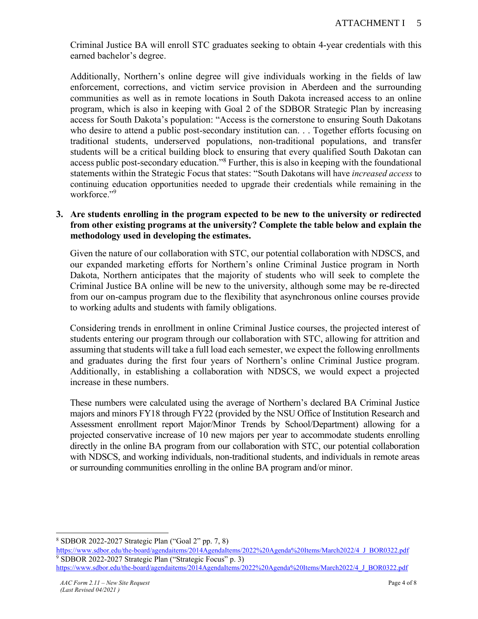Criminal Justice BA will enroll STC graduates seeking to obtain 4-year credentials with this earned bachelor's degree.

Additionally, Northern's online degree will give individuals working in the fields of law enforcement, corrections, and victim service provision in Aberdeen and the surrounding communities as well as in remote locations in South Dakota increased access to an online program, which is also in keeping with Goal 2 of the SDBOR Strategic Plan by increasing access for South Dakota's population: "Access is the cornerstone to ensuring South Dakotans who desire to attend a public post-secondary institution can. . . Together efforts focusing on traditional students, underserved populations, non-traditional populations, and transfer students will be a critical building block to ensuring that every qualified South Dakotan can access public post-secondary education." <sup>8</sup> Further, this is also in keeping with the foundational statements within the Strategic Focus that states: "South Dakotans will have *increased access* to continuing education opportunities needed to upgrade their credentials while remaining in the workforce." 9

## **3. Are students enrolling in the program expected to be new to the university or redirected from other existing programs at the university? Complete the table below and explain the methodology used in developing the estimates.**

Given the nature of our collaboration with STC, our potential collaboration with NDSCS, and our expanded marketing efforts for Northern's online Criminal Justice program in North Dakota, Northern anticipates that the majority of students who will seek to complete the Criminal Justice BA online will be new to the university, although some may be re-directed from our on-campus program due to the flexibility that asynchronous online courses provide to working adults and students with family obligations.

Considering trends in enrollment in online Criminal Justice courses, the projected interest of students entering our program through our collaboration with STC, allowing for attrition and assuming that students will take a full load each semester, we expect the following enrollments and graduates during the first four years of Northern's online Criminal Justice program. Additionally, in establishing a collaboration with NDSCS, we would expect a projected increase in these numbers.

These numbers were calculated using the average of Northern's declared BA Criminal Justice majors and minors FY18 through FY22 (provided by the NSU Office of Institution Research and Assessment enrollment report Major/Minor Trends by School/Department) allowing for a projected conservative increase of 10 new majors per year to accommodate students enrolling directly in the online BA program from our collaboration with STC, our potential collaboration with NDSCS, and working individuals, non-traditional students, and individuals in remote areas or surrounding communities enrolling in the online BA program and/or minor.

<sup>8</sup> SDBOR 2022-2027 Strategic Plan ("Goal 2" pp. 7, 8)

htt[ps://www.sdbor.edu/the-board/agendaitems/2014AgendaItems/2022%20Agenda%20Items/March2022/4\\_J\\_BOR0322.pdf](https://www.sdbor.edu/the-board/agendaitems/2014AgendaItems/2022%20Agenda%20Items/March2022/4_J_BOR0322.pdf) <sup>9</sup> SDBOR 2022-2027 Strategic Plan ("Strategic Focus" p. 3)

[https://www.sdbor.edu/the-board/agendaitems/2014AgendaItems/2022%20Agenda%20Items/March2022/4\\_J\\_BOR0322.pdf](https://www.sdbor.edu/the-board/agendaitems/2014AgendaItems/2022%20Agenda%20Items/March2022/4_J_BOR0322.pdf)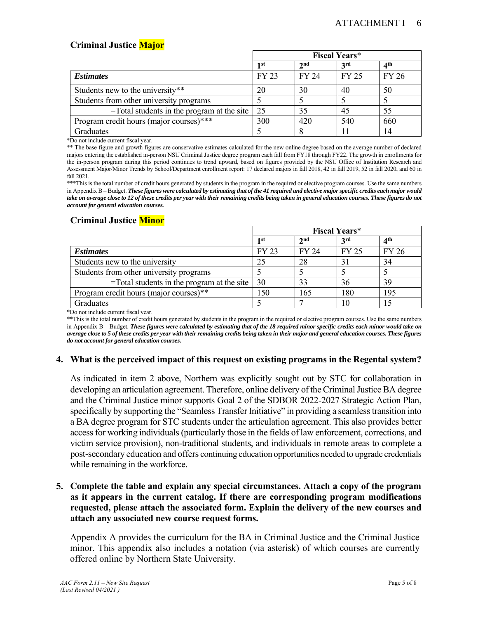## **Criminal Justice Major**

|                                                       | <b>Fiscal Years*</b> |                 |            |       |
|-------------------------------------------------------|----------------------|-----------------|------------|-------|
|                                                       | 1 st                 | 2 <sub>nd</sub> | <b>3rd</b> | ⊿th   |
| <b>Estimates</b>                                      | FY 23                | FY 24           | FY 25      | FY 26 |
| Students new to the university**                      | 20                   | 30              | 40         | 50    |
| Students from other university programs               |                      |                 |            |       |
| $=$ Total students in the program at the site $\vert$ | 25                   | 35              | 45         | 55    |
| Program credit hours (major courses)***               | 300                  | 420             | 540        | 660   |
| Graduates                                             |                      |                 |            | 14    |

\*Do not include current fiscal year.

\*\* The base figure and growth figures are conservative estimates calculated for the new online degree based on the average number of declared majors entering the established in-person NSU Criminal Justice degree program each fall from FY18 through FY22. The growth in enrollments for the in-person program during this period continues to trend upward, based on figures provided by the NSU Office of Institution Research and Assessment Major/Minor Trends by School/Department enrollment report: 17 declared majors in fall 2018, 42 in fall 2019, 52 in fall 2020, and 60 in fall 2021.

\*\*\*This is the total number of credit hours generated by students in the program in the required or elective program courses. Use the same numbers in Appendix B – Budget. *These figures were calculated by estimating that of the 41 required and elective major specific credits each major would take on average close to 12 of these credits per year with their remaining credits being taken in general education courses. These figures do not account for general education courses.*

#### **Criminal Justice Minor**

|                                                       |                 |                 | <b>Fiscal Years*</b> |              |
|-------------------------------------------------------|-----------------|-----------------|----------------------|--------------|
|                                                       | 1 <sub>st</sub> | 2 <sub>nd</sub> | 3 <sup>rd</sup>      | ⊿th          |
| <b>Estimates</b>                                      | FY 23           | FY 24           | FY 25                | <b>FY 26</b> |
| Students new to the university                        | 25              | 28              | 31                   | 34           |
| Students from other university programs               |                 |                 |                      |              |
| $=$ Total students in the program at the site $\vert$ | 30              | 33              | 36                   | 39           |
| Program credit hours (major courses)**                | 150             | 165             | 180                  | 195          |
| Graduates                                             |                 |                 | 10                   |              |

\*Do not include current fiscal year.

\*\*This is the total number of credit hours generated by students in the program in the required or elective program courses. Use the same numbers in Appendix B – Budget. *These figures were calculated by estimating that of the 18 required minor specific credits each minor would take on average close to 5 of these credits per year with their remaining credits being taken in their major and general education courses. These figures do not account for general education courses.*

#### **4. What is the perceived impact of this request on existing programs in the Regental system?**

As indicated in item 2 above, Northern was explicitly sought out by STC for collaboration in developing an articulation agreement. Therefore, online delivery of the Criminal Justice BA degree and the Criminal Justice minor supports Goal 2 of the SDBOR 2022-2027 Strategic Action Plan, specifically by supporting the "Seamless Transfer Initiative" in providing a seamless transition into a BA degree program for STC students under the articulation agreement. This also provides better access for working individuals(particularly those in the fields of law enforcement, corrections, and victim service provision), non-traditional students, and individuals in remote areas to complete a post-secondary education and offers continuing education opportunities needed to upgrade credentials while remaining in the workforce.

## **5. Complete the table and explain any special circumstances. Attach a copy of the program as it appears in the current catalog. If there are corresponding program modifications requested, please attach the associated form. Explain the delivery of the new courses and attach any associated new course request forms.**

Appendix A provides the curriculum for the BA in Criminal Justice and the Criminal Justice minor. This appendix also includes a notation (via asterisk) of which courses are currently offered online by Northern State University.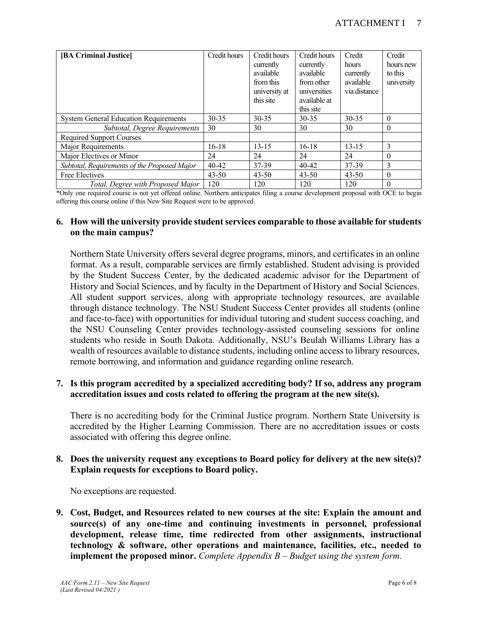| [BA Criminal Justice]                        | Credit hours | Credit hours<br>currently<br>available<br>from this<br>university at<br>this site | Credit hours<br>currently<br>available<br>from other<br>universities<br>available at<br>this site | Credit<br>hours<br>currently<br>available<br>via distance | Credit<br>hours new<br>to this<br>university |
|----------------------------------------------|--------------|-----------------------------------------------------------------------------------|---------------------------------------------------------------------------------------------------|-----------------------------------------------------------|----------------------------------------------|
| <b>System General Education Requirements</b> | $30 - 35$    | $30 - 35$                                                                         | $30 - 35$                                                                                         | $30 - 35$                                                 | $\theta$                                     |
| Subtotal, Degree Requirements                | 30           | 30                                                                                | 30                                                                                                | 30                                                        | $\theta$                                     |
| <b>Required Support Courses</b>              |              |                                                                                   |                                                                                                   |                                                           |                                              |
| Major Requirements                           | $16-18$      | $13 - 15$                                                                         | $16-18$                                                                                           | $13 - 15$                                                 | $\mathbf{3}$                                 |
| Major Electives or Minor                     | 24           | 24                                                                                | 24                                                                                                | 24                                                        | $\theta$                                     |
| Subtotal, Requirements of the Proposed Major | $40 - 42$    | 37-39                                                                             | $40 - 42$                                                                                         | 37-39                                                     | 3                                            |
| Free Electives                               | $43 - 50$    | $43 - 50$                                                                         | $43 - 50$                                                                                         | $43 - 50$                                                 | $\theta$                                     |
| Total, Degree with Proposed Major            | 120          | 120                                                                               | 120                                                                                               | 120                                                       | $\Omega$                                     |

\*Only one required course is not yet offered online. Northern anticipates filing a course development proposal with OCE to begin offering this course online if this New Site Request were to be approved.

#### **6. How will the university provide student services comparable to those available for students on the main campus?**

Northern State University offers several degree programs, minors, and certificates in an online format. As a result, comparable services are firmly established. Student advising is provided by the Student Success Center, by the dedicated academic advisor for the Department of History and Social Sciences, and by faculty in the Department of History and Social Sciences. All student support services, along with appropriate technology resources, are available through distance technology. The NSU Student Success Center provides all students (online and face-to-face) with opportunities for individual tutoring and student success coaching, and the NSU Counseling Center provides technology-assisted counseling sessions for online students who reside in South Dakota. Additionally, NSU's Beulah Williams Library has a wealth of resources available to distance students, including online access to library resources, remote borrowing, and information and guidance regarding online research.

## **7. Is this program accredited by a specialized accrediting body? If so, address any program accreditation issues and costs related to offering the program at the new site(s).**

There is no accrediting body for the Criminal Justice program. Northern State University is accredited by the Higher Learning Commission. There are no accreditation issues or costs associated with offering this degree online.

#### **8. Does the university request any exceptions to Board policy for delivery at the new site(s)? Explain requests for exceptions to Board policy.**

No exceptions are requested.

**9. Cost, Budget, and Resources related to new courses at the site: Explain the amount and source(s) of any one-time and continuing investments in personnel, professional development, release time, time redirected from other assignments, instructional technology & software, other operations and maintenance, facilities, etc., needed to implement the proposed minor.** *Complete Appendix B – Budget using the system form.*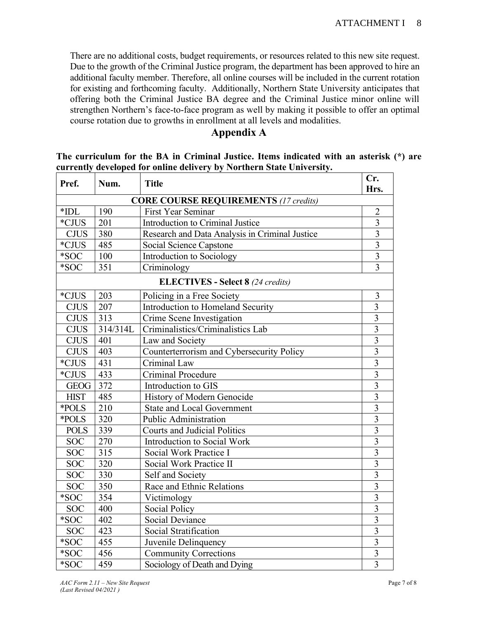There are no additional costs, budget requirements, or resources related to this new site request. Due to the growth of the Criminal Justice program, the department has been approved to hire an additional faculty member. Therefore, all online courses will be included in the current rotation for existing and forthcoming faculty. Additionally, Northern State University anticipates that offering both the Criminal Justice BA degree and the Criminal Justice minor online will strengthen Northern's face-to-face program as well by making it possible to offer an optimal course rotation due to growths in enrollment at all levels and modalities.

## **Appendix A**

|                                                                       |  |  |  | The curriculum for the BA in Criminal Justice. Items indicated with an asterisk (*) are |  |
|-----------------------------------------------------------------------|--|--|--|-----------------------------------------------------------------------------------------|--|
| currently developed for online delivery by Northern State University. |  |  |  |                                                                                         |  |
|                                                                       |  |  |  |                                                                                         |  |

| Pref.                                        | Num.     | <b>Title</b>                                   | Cr.<br>Hrs.                      |  |
|----------------------------------------------|----------|------------------------------------------------|----------------------------------|--|
| <b>CORE COURSE REQUIREMENTS (17 credits)</b> |          |                                                |                                  |  |
| First Year Seminar<br>$*$ IDL<br>190         |          |                                                |                                  |  |
| *CJUS                                        | 201      | Introduction to Criminal Justice               | $\overline{2}$<br>$\overline{3}$ |  |
| <b>CJUS</b>                                  | 380      | Research and Data Analysis in Criminal Justice | $\overline{3}$                   |  |
| *CJUS                                        | 485      | Social Science Capstone                        | $\overline{3}$                   |  |
| $\boldsymbol{*} \text{SOC}$                  | 100      | Introduction to Sociology                      | 3                                |  |
| *SOC                                         | 351      | Criminology                                    | $\overline{3}$                   |  |
|                                              |          | <b>ELECTIVES - Select 8 (24 credits)</b>       |                                  |  |
| *CJUS                                        | 203      | Policing in a Free Society                     | 3                                |  |
| <b>CJUS</b>                                  | 207      | Introduction to Homeland Security              | $\overline{3}$                   |  |
| <b>CJUS</b>                                  | 313      | Crime Scene Investigation                      | $\overline{3}$                   |  |
| <b>CJUS</b>                                  | 314/314L | Criminalistics/Criminalistics Lab              | $\overline{\mathbf{3}}$          |  |
| <b>CJUS</b>                                  | 401      | Law and Society                                | $\overline{3}$                   |  |
| CJUS                                         | 403      | Counterterrorism and Cybersecurity Policy      | $\overline{3}$                   |  |
| $^*$ CJUS                                    | 431      | Criminal Law                                   | $\overline{3}$                   |  |
| *CJUS                                        | 433      | <b>Criminal Procedure</b>                      | $\overline{3}$                   |  |
| <b>GEOG</b>                                  | 372      | Introduction to GIS                            | $\overline{\mathbf{3}}$          |  |
| <b>HIST</b>                                  | 485      | History of Modern Genocide                     | $\overline{3}$                   |  |
| *POLS                                        | 210      | <b>State and Local Government</b>              | $\overline{\mathbf{3}}$          |  |
| *POLS                                        | 320      | <b>Public Administration</b>                   | $\overline{3}$                   |  |
| <b>POLS</b>                                  | 339      | <b>Courts and Judicial Politics</b>            | $\overline{3}$                   |  |
| <b>SOC</b>                                   | 270      | Introduction to Social Work                    | $\overline{\mathbf{3}}$          |  |
| <b>SOC</b>                                   | 315      | Social Work Practice I                         | $\overline{\mathbf{3}}$          |  |
| <b>SOC</b>                                   | 320      | Social Work Practice II                        | $\overline{3}$                   |  |
| <b>SOC</b>                                   | 330      | Self and Society                               | $\overline{3}$                   |  |
| <b>SOC</b>                                   | 350      | Race and Ethnic Relations                      | 3                                |  |
| *SOC                                         | 354      | Victimology                                    | $\overline{3}$                   |  |
| <b>SOC</b>                                   | 400      | <b>Social Policy</b>                           | $\overline{3}$                   |  |
| *SOC                                         | 402      | Social Deviance                                | $\overline{\mathbf{3}}$          |  |
| <b>SOC</b>                                   | 423      | Social Stratification                          | 3                                |  |
| *SOC                                         | 455      | Juvenile Delinquency                           | 3                                |  |
| $*$ SOC                                      | 456      | <b>Community Corrections</b>                   | $\overline{\mathbf{3}}$          |  |
| *SOC                                         | 459      | Sociology of Death and Dying                   | $\overline{3}$                   |  |